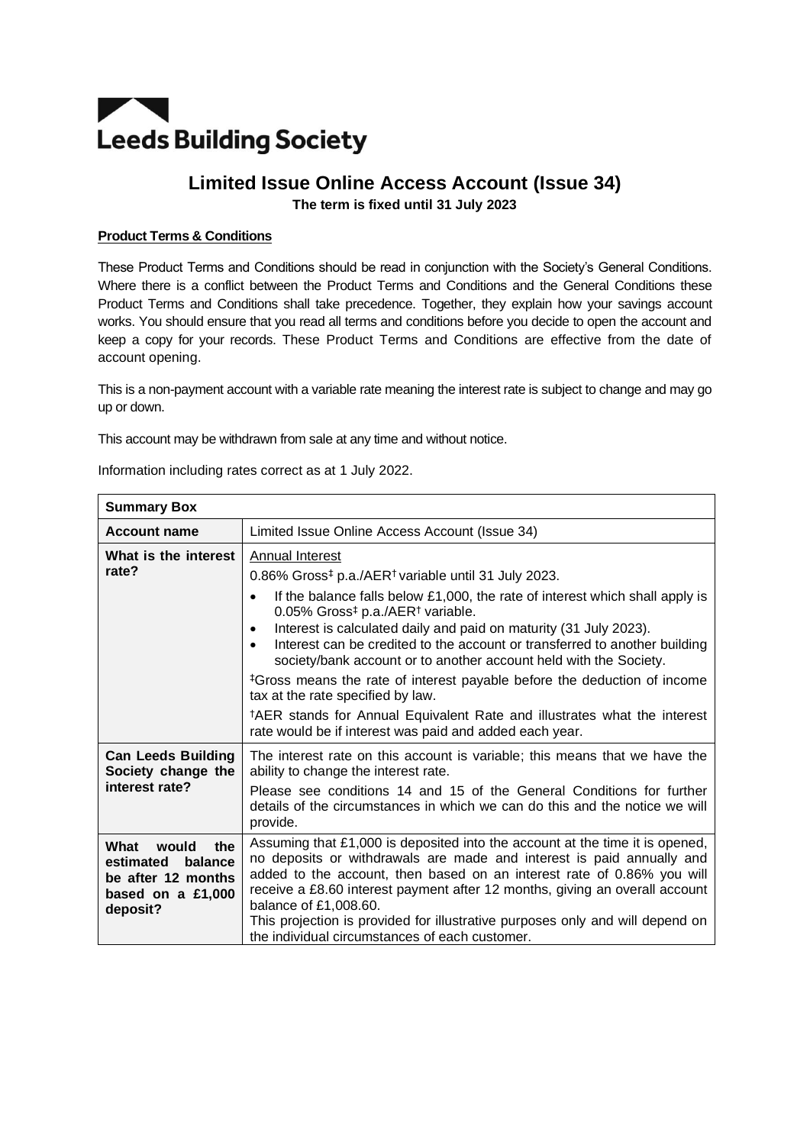# **TAN Leeds Building Society**

# **Limited Issue Online Access Account (Issue 34) The term is fixed until 31 July 2023**

# **Product Terms & Conditions**

These Product Terms and Conditions should be read in conjunction with the Society's General Conditions. Where there is a conflict between the Product Terms and Conditions and the General Conditions these Product Terms and Conditions shall take precedence. Together, they explain how your savings account works. You should ensure that you read all terms and conditions before you decide to open the account and keep a copy for your records. These Product Terms and Conditions are effective from the date of account opening.

This is a non-payment account with a variable rate meaning the interest rate is subject to change and may go up or down.

This account may be withdrawn from sale at any time and without notice.

| <b>Summary Box</b>                                                                                  |                                                                                                                                                                                                                                                                                                                                                                                                                                                                                                                                                                                                                                                                                                                                                                                           |
|-----------------------------------------------------------------------------------------------------|-------------------------------------------------------------------------------------------------------------------------------------------------------------------------------------------------------------------------------------------------------------------------------------------------------------------------------------------------------------------------------------------------------------------------------------------------------------------------------------------------------------------------------------------------------------------------------------------------------------------------------------------------------------------------------------------------------------------------------------------------------------------------------------------|
| <b>Account name</b>                                                                                 | Limited Issue Online Access Account (Issue 34)                                                                                                                                                                                                                                                                                                                                                                                                                                                                                                                                                                                                                                                                                                                                            |
| What is the interest<br>rate?                                                                       | Annual Interest<br>0.86% Gross <sup>‡</sup> p.a./AER <sup>†</sup> variable until 31 July 2023.<br>If the balance falls below £1,000, the rate of interest which shall apply is<br>$\bullet$<br>0.05% Gross <sup>‡</sup> p.a./AER <sup>†</sup> variable.<br>Interest is calculated daily and paid on maturity (31 July 2023).<br>$\bullet$<br>Interest can be credited to the account or transferred to another building<br>$\bullet$<br>society/bank account or to another account held with the Society.<br><sup>‡</sup> Gross means the rate of interest payable before the deduction of income<br>tax at the rate specified by law.<br><sup>†</sup> AER stands for Annual Equivalent Rate and illustrates what the interest<br>rate would be if interest was paid and added each year. |
| <b>Can Leeds Building</b><br>Society change the<br>interest rate?                                   | The interest rate on this account is variable; this means that we have the<br>ability to change the interest rate.<br>Please see conditions 14 and 15 of the General Conditions for further<br>details of the circumstances in which we can do this and the notice we will<br>provide.                                                                                                                                                                                                                                                                                                                                                                                                                                                                                                    |
| What<br>would<br>the<br>estimated<br>balance<br>be after 12 months<br>based on a £1,000<br>deposit? | Assuming that £1,000 is deposited into the account at the time it is opened,<br>no deposits or withdrawals are made and interest is paid annually and<br>added to the account, then based on an interest rate of 0.86% you will<br>receive a £8.60 interest payment after 12 months, giving an overall account<br>balance of £1,008.60.<br>This projection is provided for illustrative purposes only and will depend on<br>the individual circumstances of each customer.                                                                                                                                                                                                                                                                                                                |

Information including rates correct as at 1 July 2022.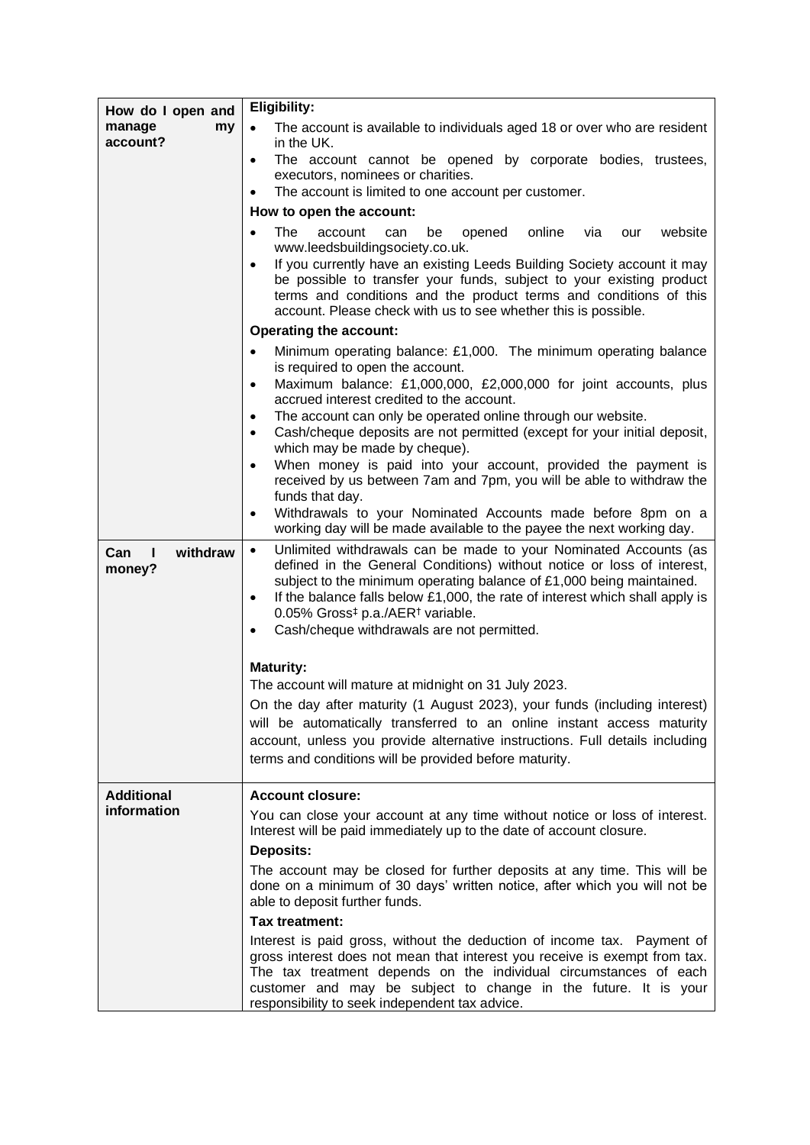| How do I open and<br>manage<br>my<br>account? | <b>Eligibility:</b>                                                                                                                                                                                                                                                                                                                                                                                                                                 |
|-----------------------------------------------|-----------------------------------------------------------------------------------------------------------------------------------------------------------------------------------------------------------------------------------------------------------------------------------------------------------------------------------------------------------------------------------------------------------------------------------------------------|
|                                               | $\bullet$<br>The account is available to individuals aged 18 or over who are resident<br>in the UK.                                                                                                                                                                                                                                                                                                                                                 |
|                                               | The account cannot be opened by corporate bodies, trustees,<br>$\bullet$                                                                                                                                                                                                                                                                                                                                                                            |
|                                               | executors, nominees or charities.<br>The account is limited to one account per customer.<br>$\bullet$                                                                                                                                                                                                                                                                                                                                               |
|                                               | How to open the account:                                                                                                                                                                                                                                                                                                                                                                                                                            |
|                                               | online<br>The<br>website<br>account<br>can<br>be<br>opened<br>via<br>$\bullet$<br>our                                                                                                                                                                                                                                                                                                                                                               |
|                                               | www.leedsbuildingsociety.co.uk.                                                                                                                                                                                                                                                                                                                                                                                                                     |
|                                               | If you currently have an existing Leeds Building Society account it may<br>$\bullet$<br>be possible to transfer your funds, subject to your existing product<br>terms and conditions and the product terms and conditions of this<br>account. Please check with us to see whether this is possible.                                                                                                                                                 |
|                                               | <b>Operating the account:</b>                                                                                                                                                                                                                                                                                                                                                                                                                       |
|                                               | Minimum operating balance: £1,000. The minimum operating balance<br>is required to open the account.                                                                                                                                                                                                                                                                                                                                                |
|                                               | Maximum balance: £1,000,000, £2,000,000 for joint accounts, plus<br>$\bullet$<br>accrued interest credited to the account.                                                                                                                                                                                                                                                                                                                          |
|                                               | The account can only be operated online through our website.<br>$\bullet$                                                                                                                                                                                                                                                                                                                                                                           |
|                                               | Cash/cheque deposits are not permitted (except for your initial deposit,<br>$\bullet$<br>which may be made by cheque).                                                                                                                                                                                                                                                                                                                              |
|                                               | When money is paid into your account, provided the payment is<br>$\bullet$                                                                                                                                                                                                                                                                                                                                                                          |
|                                               | received by us between 7am and 7pm, you will be able to withdraw the                                                                                                                                                                                                                                                                                                                                                                                |
|                                               | funds that day.<br>Withdrawals to your Nominated Accounts made before 8pm on a                                                                                                                                                                                                                                                                                                                                                                      |
|                                               | working day will be made available to the payee the next working day.                                                                                                                                                                                                                                                                                                                                                                               |
| withdraw<br>$\mathbf{I}$<br>Can<br>money?     | Unlimited withdrawals can be made to your Nominated Accounts (as<br>$\bullet$<br>defined in the General Conditions) without notice or loss of interest,<br>subject to the minimum operating balance of £1,000 being maintained.<br>If the balance falls below £1,000, the rate of interest which shall apply is<br>$\bullet$<br>0.05% Gross <sup>‡</sup> p.a./AER <sup>†</sup> variable.<br>Cash/cheque withdrawals are not permitted.<br>$\bullet$ |
|                                               | <b>Maturity:</b>                                                                                                                                                                                                                                                                                                                                                                                                                                    |
|                                               | The account will mature at midnight on 31 July 2023.                                                                                                                                                                                                                                                                                                                                                                                                |
|                                               | On the day after maturity (1 August 2023), your funds (including interest)                                                                                                                                                                                                                                                                                                                                                                          |
|                                               | will be automatically transferred to an online instant access maturity                                                                                                                                                                                                                                                                                                                                                                              |
|                                               | account, unless you provide alternative instructions. Full details including                                                                                                                                                                                                                                                                                                                                                                        |
|                                               | terms and conditions will be provided before maturity.                                                                                                                                                                                                                                                                                                                                                                                              |
| <b>Additional</b>                             | <b>Account closure:</b>                                                                                                                                                                                                                                                                                                                                                                                                                             |
| information                                   | You can close your account at any time without notice or loss of interest.                                                                                                                                                                                                                                                                                                                                                                          |
|                                               | Interest will be paid immediately up to the date of account closure.                                                                                                                                                                                                                                                                                                                                                                                |
|                                               | <b>Deposits:</b>                                                                                                                                                                                                                                                                                                                                                                                                                                    |
|                                               | The account may be closed for further deposits at any time. This will be<br>done on a minimum of 30 days' written notice, after which you will not be<br>able to deposit further funds.                                                                                                                                                                                                                                                             |
|                                               | Tax treatment:                                                                                                                                                                                                                                                                                                                                                                                                                                      |
|                                               | Interest is paid gross, without the deduction of income tax. Payment of<br>gross interest does not mean that interest you receive is exempt from tax.<br>The tax treatment depends on the individual circumstances of each<br>customer and may be subject to change in the future. It is your<br>responsibility to seek independent tax advice.                                                                                                     |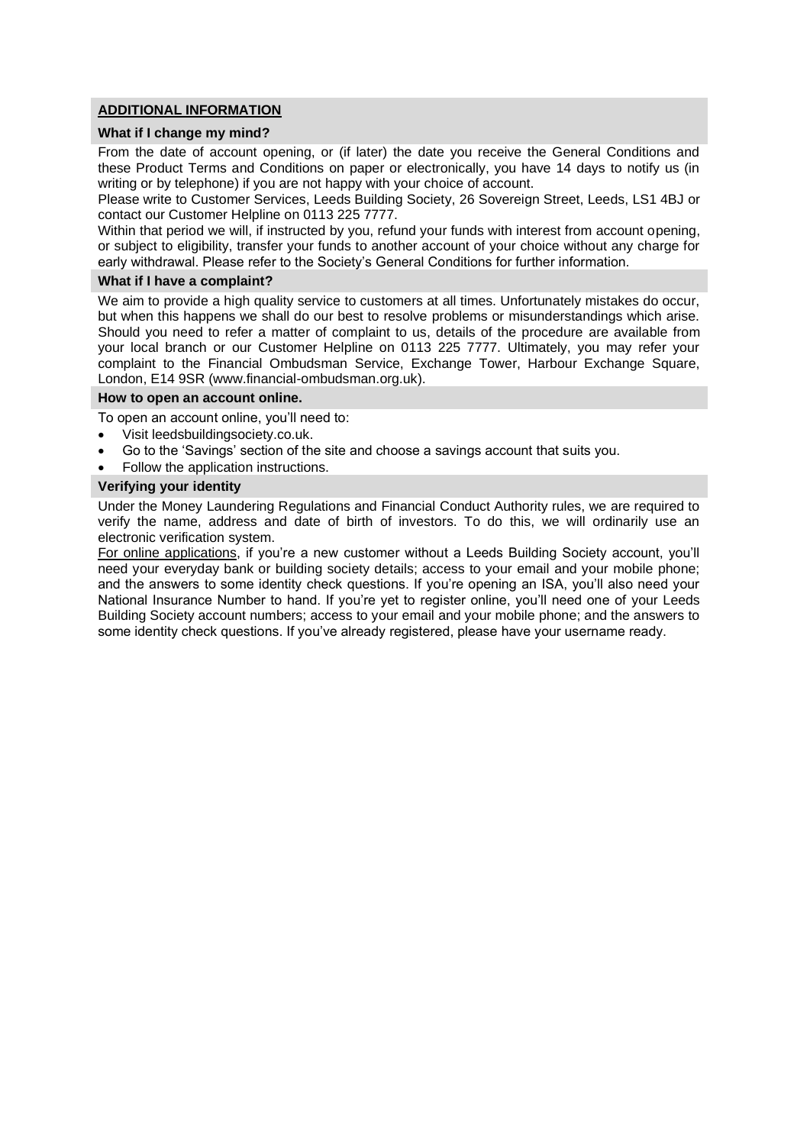#### **ADDITIONAL INFORMATION**

### **What if I change my mind?**

From the date of account opening, or (if later) the date you receive the General Conditions and these Product Terms and Conditions on paper or electronically, you have 14 days to notify us (in writing or by telephone) if you are not happy with your choice of account.

Please write to Customer Services, Leeds Building Society, 26 Sovereign Street, Leeds, LS1 4BJ or contact our Customer Helpline on 0113 225 7777.

Within that period we will, if instructed by you, refund your funds with interest from account opening, or subject to eligibility, transfer your funds to another account of your choice without any charge for early withdrawal. Please refer to the Society's General Conditions for further information.

#### **What if I have a complaint?**

We aim to provide a high quality service to customers at all times. Unfortunately mistakes do occur, but when this happens we shall do our best to resolve problems or misunderstandings which arise. Should you need to refer a matter of complaint to us, details of the procedure are available from your local branch or our Customer Helpline on 0113 225 7777. Ultimately, you may refer your complaint to the Financial Ombudsman Service, Exchange Tower, Harbour Exchange Square, London, E14 9SR (www.financial-ombudsman.org.uk).

#### **How to open an account online.**

To open an account online, you'll need to:

- Visit leedsbuildingsociety.co.uk.
- Go to the 'Savings' section of the site and choose a savings account that suits you.
- Follow the application instructions.

#### **Verifying your identity**

Under the Money Laundering Regulations and Financial Conduct Authority rules, we are required to verify the name, address and date of birth of investors. To do this, we will ordinarily use an electronic verification system.

For online applications, if you're a new customer without a Leeds Building Society account, you'll need your everyday bank or building society details; access to your email and your mobile phone; and the answers to some identity check questions. If you're opening an ISA, you'll also need your National Insurance Number to hand. If you're yet to register online, you'll need one of your Leeds Building Society account numbers; access to your email and your mobile phone; and the answers to some identity check questions. If you've already registered, please have your username ready.